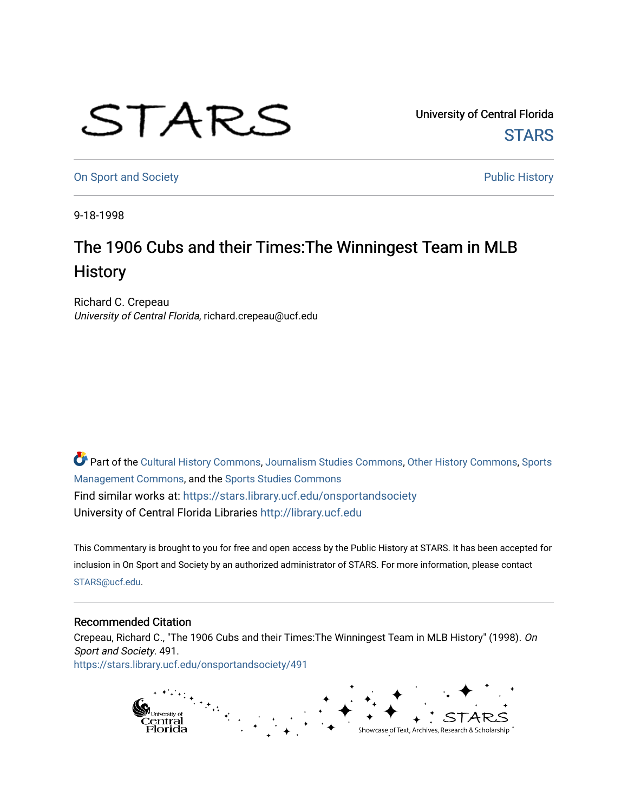## STARS

University of Central Florida **STARS** 

[On Sport and Society](https://stars.library.ucf.edu/onsportandsociety) **Public History** Public History

9-18-1998

## The 1906 Cubs and their Times:The Winningest Team in MLB **History**

Richard C. Crepeau University of Central Florida, richard.crepeau@ucf.edu

Part of the [Cultural History Commons](http://network.bepress.com/hgg/discipline/496?utm_source=stars.library.ucf.edu%2Fonsportandsociety%2F491&utm_medium=PDF&utm_campaign=PDFCoverPages), [Journalism Studies Commons,](http://network.bepress.com/hgg/discipline/333?utm_source=stars.library.ucf.edu%2Fonsportandsociety%2F491&utm_medium=PDF&utm_campaign=PDFCoverPages) [Other History Commons,](http://network.bepress.com/hgg/discipline/508?utm_source=stars.library.ucf.edu%2Fonsportandsociety%2F491&utm_medium=PDF&utm_campaign=PDFCoverPages) [Sports](http://network.bepress.com/hgg/discipline/1193?utm_source=stars.library.ucf.edu%2Fonsportandsociety%2F491&utm_medium=PDF&utm_campaign=PDFCoverPages) [Management Commons](http://network.bepress.com/hgg/discipline/1193?utm_source=stars.library.ucf.edu%2Fonsportandsociety%2F491&utm_medium=PDF&utm_campaign=PDFCoverPages), and the [Sports Studies Commons](http://network.bepress.com/hgg/discipline/1198?utm_source=stars.library.ucf.edu%2Fonsportandsociety%2F491&utm_medium=PDF&utm_campaign=PDFCoverPages) Find similar works at: <https://stars.library.ucf.edu/onsportandsociety> University of Central Florida Libraries [http://library.ucf.edu](http://library.ucf.edu/) 

This Commentary is brought to you for free and open access by the Public History at STARS. It has been accepted for inclusion in On Sport and Society by an authorized administrator of STARS. For more information, please contact [STARS@ucf.edu](mailto:STARS@ucf.edu).

## Recommended Citation

Crepeau, Richard C., "The 1906 Cubs and their Times:The Winningest Team in MLB History" (1998). On Sport and Society. 491. [https://stars.library.ucf.edu/onsportandsociety/491](https://stars.library.ucf.edu/onsportandsociety/491?utm_source=stars.library.ucf.edu%2Fonsportandsociety%2F491&utm_medium=PDF&utm_campaign=PDFCoverPages)

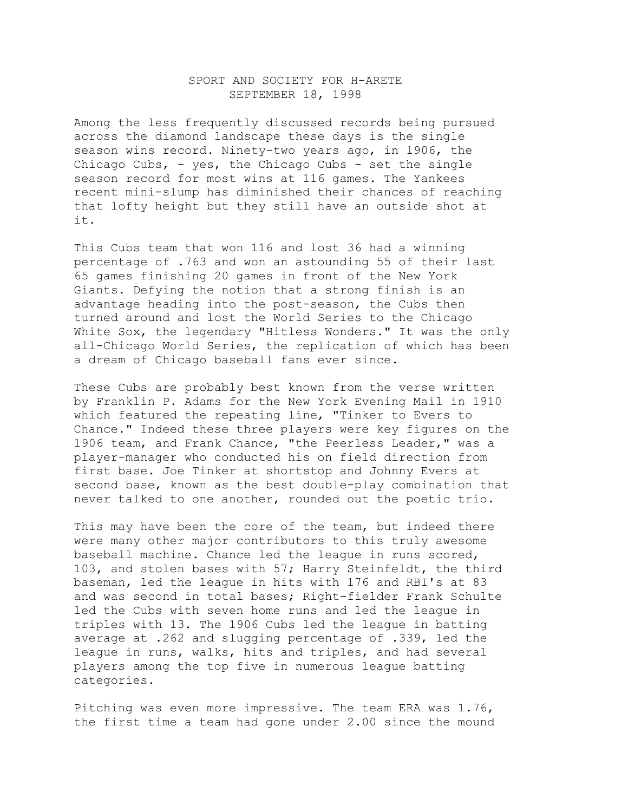## SPORT AND SOCIETY FOR H-ARETE SEPTEMBER 18, 1998

Among the less frequently discussed records being pursued across the diamond landscape these days is the single season wins record. Ninety-two years ago, in 1906, the Chicago Cubs,  $-$  yes, the Chicago Cubs  $-$  set the single season record for most wins at 116 games. The Yankees recent mini-slump has diminished their chances of reaching that lofty height but they still have an outside shot at it.

This Cubs team that won 116 and lost 36 had a winning percentage of .763 and won an astounding 55 of their last 65 games finishing 20 games in front of the New York Giants. Defying the notion that a strong finish is an advantage heading into the post-season, the Cubs then turned around and lost the World Series to the Chicago White Sox, the legendary "Hitless Wonders." It was the only all-Chicago World Series, the replication of which has been a dream of Chicago baseball fans ever since.

These Cubs are probably best known from the verse written by Franklin P. Adams for the New York Evening Mail in 1910 which featured the repeating line, "Tinker to Evers to Chance." Indeed these three players were key figures on the 1906 team, and Frank Chance, "the Peerless Leader," was a player-manager who conducted his on field direction from first base. Joe Tinker at shortstop and Johnny Evers at second base, known as the best double-play combination that never talked to one another, rounded out the poetic trio.

This may have been the core of the team, but indeed there were many other major contributors to this truly awesome baseball machine. Chance led the league in runs scored, 103, and stolen bases with 57; Harry Steinfeldt, the third baseman, led the league in hits with 176 and RBI's at 83 and was second in total bases; Right-fielder Frank Schulte led the Cubs with seven home runs and led the league in triples with 13. The 1906 Cubs led the league in batting average at .262 and slugging percentage of .339, led the league in runs, walks, hits and triples, and had several players among the top five in numerous league batting categories.

Pitching was even more impressive. The team ERA was 1.76, the first time a team had gone under 2.00 since the mound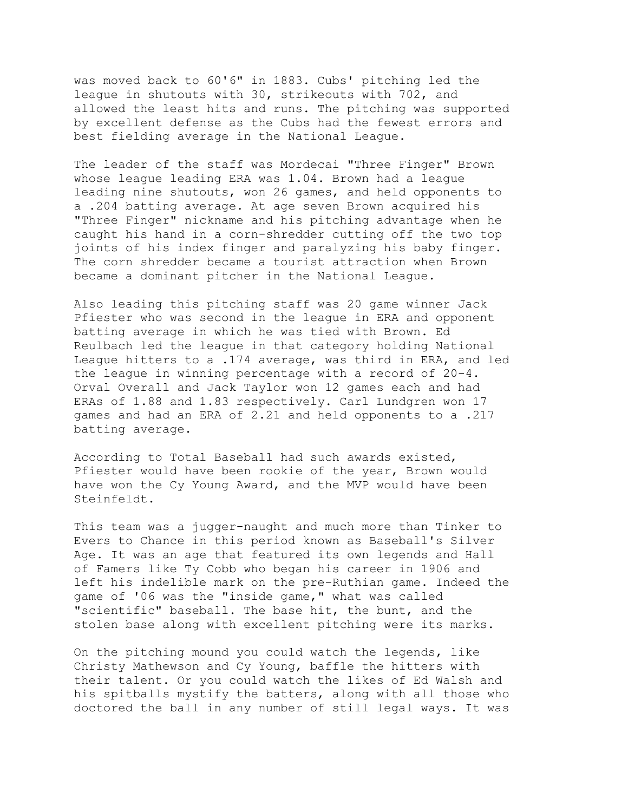was moved back to 60'6" in 1883. Cubs' pitching led the league in shutouts with 30, strikeouts with 702, and allowed the least hits and runs. The pitching was supported by excellent defense as the Cubs had the fewest errors and best fielding average in the National League.

The leader of the staff was Mordecai "Three Finger" Brown whose league leading ERA was 1.04. Brown had a league leading nine shutouts, won 26 games, and held opponents to a .204 batting average. At age seven Brown acquired his "Three Finger" nickname and his pitching advantage when he caught his hand in a corn-shredder cutting off the two top joints of his index finger and paralyzing his baby finger. The corn shredder became a tourist attraction when Brown became a dominant pitcher in the National League.

Also leading this pitching staff was 20 game winner Jack Pfiester who was second in the league in ERA and opponent batting average in which he was tied with Brown. Ed Reulbach led the league in that category holding National League hitters to a .174 average, was third in ERA, and led the league in winning percentage with a record of 20-4. Orval Overall and Jack Taylor won 12 games each and had ERAs of 1.88 and 1.83 respectively. Carl Lundgren won 17 games and had an ERA of 2.21 and held opponents to a .217 batting average.

According to Total Baseball had such awards existed, Pfiester would have been rookie of the year, Brown would have won the Cy Young Award, and the MVP would have been Steinfeldt.

This team was a jugger-naught and much more than Tinker to Evers to Chance in this period known as Baseball's Silver Age. It was an age that featured its own legends and Hall of Famers like Ty Cobb who began his career in 1906 and left his indelible mark on the pre-Ruthian game. Indeed the game of '06 was the "inside game," what was called "scientific" baseball. The base hit, the bunt, and the stolen base along with excellent pitching were its marks.

On the pitching mound you could watch the legends, like Christy Mathewson and Cy Young, baffle the hitters with their talent. Or you could watch the likes of Ed Walsh and his spitballs mystify the batters, along with all those who doctored the ball in any number of still legal ways. It was